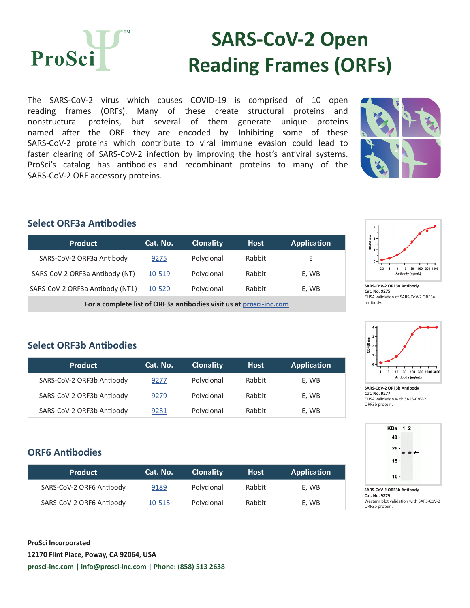

# **SARS-CoV-2 Open Reading Frames (ORFs)**

The SARS-CoV-2 virus which causes COVID-19 is comprised of 10 open reading frames (ORFs). Many of these create structural proteins and nonstructural proteins, but several of them generate unique proteins named after the ORF they are encoded by. Inhibiting some of these SARS-CoV-2 proteins which contribute to viral immune evasion could lead to faster clearing of SARS-CoV-2 infection by improving the host's antiviral systems. ProSci's catalog has antibodies and recombinant proteins to many of the SARS-CoV-2 ORF accessory proteins.



### **Select ORF3a Antibodies**

| <b>Product</b>                                                     | Cat. No. | <b>Clonality</b> | <b>Host</b> | <b>Application</b> |
|--------------------------------------------------------------------|----------|------------------|-------------|--------------------|
| SARS-CoV-2 ORF3a Antibody                                          | 9275     | Polyclonal       | Rabbit      | F                  |
| SARS-CoV-2 ORF3a Antibody (NT)                                     | 10-519   | Polyclonal       | Rabbit      | E, WB              |
| SARS-CoV-2 ORF3a Antibody (NT1)                                    | 10-520   | Polyclonal       | Rabbit      | E, WB              |
| For a complete list of ORF3a antibodies visit us at prosci-inc.com |          |                  |             |                    |



**SARS-CoV-2 ORF3a Antibody Cat. No. 9275** ELISA validation of SARS-CoV-2 ORF3a antibody.



**SARS-CoV-2 ORF3b Antibody Cat. No. 9277** ELISA validation with SARS-CoV-2 ORF3b protein.



**SARS-CoV-2 ORF3b Antibody Cat. No. 9279** Western blot validation with SARS-CoV-2 ORF3b protein.

# **Select ORF3b Antibodies**

| <b>Product</b>            | Cat. No. | <b>Clonality</b> | <b>Host</b> | <b>Application</b> |
|---------------------------|----------|------------------|-------------|--------------------|
| SARS-CoV-2 ORF3b Antibody | 9277     | Polyclonal       | Rabbit      | E, WB              |
| SARS-CoV-2 ORF3b Antibody | 9279     | Polyclonal       | Rabbit      | E, WB              |
| SARS-CoV-2 ORF3b Antibody | 9281     | Polyclonal       | Rabbit      | E, WB              |

### **ORF6 Antibodies**

| <b>Product</b>           | Cat. No. | <b>Clonality</b> | <b>Host</b> | Application |
|--------------------------|----------|------------------|-------------|-------------|
| SARS-CoV-2 ORF6 Antibody | 9189     | Polyclonal       | Rabbit      | E. WB       |
| SARS-CoV-2 ORF6 Antibody | 10-515   | Polyclonal       | Rabbit      | E, WB       |